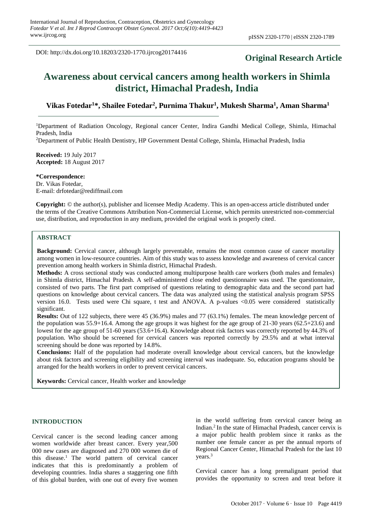DOI: http://dx.doi.org/10.18203/2320-1770.ijrcog20174416

# **Original Research Article**

# **Awareness about cervical cancers among health workers in Shimla district, Himachal Pradesh, India**

# **Vikas Fotedar<sup>1</sup>\*, Shailee Fotedar<sup>2</sup> , Purnima Thakur<sup>1</sup> , Mukesh Sharma<sup>1</sup> , Aman Sharma<sup>1</sup>**

<sup>1</sup>Department of Radiation Oncology, Regional cancer Center, Indira Gandhi Medical College, Shimla, Himachal Pradesh, India

<sup>2</sup>Department of Public Health Dentistry, HP Government Dental College, Shimla, Himachal Pradesh, India

**Received:** 19 July 2017 **Accepted:** 18 August 2017

**\*Correspondence:** Dr. Vikas Fotedar, E-mail: drfotedar@rediffmail.com

**Copyright:** © the author(s), publisher and licensee Medip Academy. This is an open-access article distributed under the terms of the Creative Commons Attribution Non-Commercial License, which permits unrestricted non-commercial use, distribution, and reproduction in any medium, provided the original work is properly cited.

#### **ABSTRACT**

**Background:** Cervical cancer, although largely preventable, remains the most common cause of cancer mortality among women in low-resource countries. Aim of this study was to assess knowledge and awareness of cervical cancer prevention among health workers in Shimla district, Himachal Pradesh.

**Methods:** A cross sectional study was conducted among multipurpose health care workers (both males and females) in Shimla district, Himachal Pradesh. A self-administered close ended questionnaire was used. The questionnaire, consisted of two parts. The first part comprised of questions relating to demographic data and the second part had questions on knowledge about cervical cancers. The data was analyzed using the statistical analysis program SPSS version 16.0. Tests used were Chi square, t test and ANOVA. A p-values <0.05 were considered statistically significant.

**Results:** Out of 122 subjects, there were 45 (36.9%) males and 77 (63.1%) females. The mean knowledge percent of the population was 55.9+16.4. Among the age groups it was highest for the age group of 21-30 years (62.5+23.6) and lowest for the age group of 51-60 years (53.6+16.4). Knowledge about risk factors was correctly reported by 44.3% of population. Who should be screened for cervical cancers was reported correctly by 29.5% and at what interval screening should be done was reported by 14.8%.

**Conclusions:** Half of the population had moderate overall knowledge about cervical cancers, but the knowledge about risk factors and screening eligibility and screening interval was inadequate. So, education programs should be arranged for the health workers in order to prevent cervical cancers.

**Keywords:** Cervical cancer, Health worker and knowledge

#### **INTRODUCTION**

Cervical cancer is the second leading cancer among women worldwide after breast cancer. Every year,500 000 new cases are diagnosed and 270 000 women die of this disease.<sup>1</sup> The world pattern of cervical cancer indicates that this is predominantly a problem of developing countries. India shares a staggering one fifth of this global burden, with one out of every five women in the world suffering from cervical cancer being an Indian.<sup>2</sup> In the state of Himachal Pradesh, cancer cervix is a major public health problem since it ranks as the number one female cancer as per the annual reports of Regional Cancer Center, Himachal Pradesh for the last 10 years.<sup>3</sup>

Cervical cancer has a long premalignant period that provides the opportunity to screen and treat before it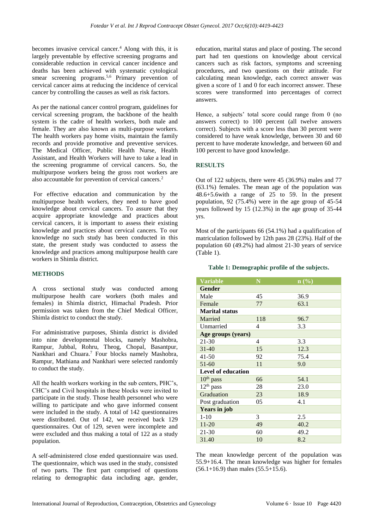becomes invasive cervical cancer.<sup>4</sup> Along with this, it is largely preventable by effective screening programs and considerable reduction in cervical cancer incidence and deaths has been achieved with systematic cytological smear screening programs.<sup>5,6</sup> Primary prevention of cervical cancer aims at reducing the incidence of cervical cancer by controlling the causes as well as risk factors.

As per the national cancer control program, guidelines for cervical screening program, the backbone of the health system is the cadre of health workers, both male and female. They are also known as multi-purpose workers. The health workers pay home visits, maintain the family records and provide promotive and preventive services. The Medical Officer, Public Health Nurse, Health Assistant, and Health Workers will have to take a lead in the screening programme of cervical cancers. So, the multipurpose workers being the gross root workers are also accountable for prevention of cervical cancers.<sup>2</sup>

For effective education and communication by the multipurpose health workers, they need to have good knowledge about cervical cancers. To assure that they acquire appropriate knowledge and practices about cervical cancers, it is important to assess their existing knowledge and practices about cervical cancers. To our knowledge no such study has been conducted in this state, the present study was conducted to assess the knowledge and practices among multipurpose health care workers in Shimla district.

#### **METHODS**

A cross sectional study was conducted among multipurpose health care workers (both males and females) in Shimla district, Himachal Pradesh. Prior permission was taken from the Chief Medical Officer, Shimla district to conduct the study.

For administrative purposes, Shimla district is divided into nine developmental blocks, namely Mashobra, Rampur, Jubbal, Rohru, Theog, Chopal, Basantpur, Nankhari and Chuara. <sup>7</sup> Four blocks namely Mashobra, Rampur, Mathiana and Nankhari were selected randomly to conduct the study.

All the health workers working in the sub centers, PHC's, CHC's and Civil hospitals in these blocks were invited to participate in the study. Those health personnel who were willing to participate and who gave informed consent were included in the study. A total of 142 questionnaires were distributed. Out of 142, we received back 129 questionnaires. Out of 129, seven were incomplete and were excluded and thus making a total of 122 as a study population.

A self-administered close ended questionnaire was used. The questionnaire, which was used in the study, consisted of two parts. The first part comprised of questions relating to demographic data including age, gender, education, marital status and place of posting. The second part had ten questions on knowledge about cervical cancers such as risk factors, symptoms and screening procedures, and two questions on their attitude. For calculating mean knowledge, each correct answer was given a score of 1 and 0 for each incorrect answer. These scores were transformed into percentages of correct answers.

Hence, a subjects' total score could range from 0 (no answers correct) to 100 percent (all twelve answers correct). Subjects with a score less than 30 percent were considered to have weak knowledge, between 30 and 60 percent to have moderate knowledge, and between 60 and 100 percent to have good knowledge.

## **RESULTS**

Out of 122 subjects, there were 45 (36.9%) males and 77 (63.1%) females. The mean age of the population was 48.6+5.6with a range of 25 to 59. In the present population, 92 (75.4%) were in the age group of 45-54 years followed by 15 (12.3%) in the age group of 35-44 yrs.

Most of the participants 66 (54.1%) had a qualification of matriculation followed by 12th pass 28 (23%). Half of the population 60 (49.2%) had almost 21-30 years of service (Table 1).

#### **Table 1: Demographic profile of the subjects.**

| <b>Variable</b>           | N   | $\mathbf{n}(\%)$ |  |  |  |
|---------------------------|-----|------------------|--|--|--|
| Gender                    |     |                  |  |  |  |
| Male                      | 45  | 36.9             |  |  |  |
| Female                    | 77  | 63.1             |  |  |  |
| <b>Marital status</b>     |     |                  |  |  |  |
| Married                   | 118 | 96.7             |  |  |  |
| Unmarried                 | 4   | 3.3              |  |  |  |
| Age groups (years)        |     |                  |  |  |  |
| 21-30                     | 4   | 3.3              |  |  |  |
| $31 - 40$                 | 15  | 12.3             |  |  |  |
| 41-50                     | 92  | 75.4             |  |  |  |
| 51-60                     | 11  | 9.0              |  |  |  |
| <b>Level of education</b> |     |                  |  |  |  |
| $10th$ pass               | 66  | 54.1             |  |  |  |
| $12th$ pass               | 28  | 23.0             |  |  |  |
| Graduation                | 23  | 18.9             |  |  |  |
| Post graduation           | 05  | 4.1              |  |  |  |
| <b>Years in job</b>       |     |                  |  |  |  |
| $1 - 10$                  | 3   | 2.5              |  |  |  |
| $11 - 20$                 | 49  | 40.2             |  |  |  |
| 21-30                     | 60  | 49.2             |  |  |  |
| 31.40                     | 10  | 8.2              |  |  |  |

The mean knowledge percent of the population was 55.9+16.4. The mean knowledge was higher for females  $(56.1+16.9)$  than males  $(55.5+15.6)$ .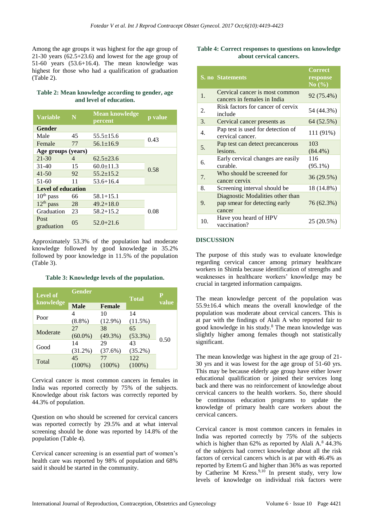Among the age groups it was highest for the age group of 21-30 years (62.5+23.6) and lowest for the age group of 51-60 years (53.6+16.4). The mean knowledge was highest for those who had a qualification of graduation (Table 2).

## **Table 2: Mean knowledge according to gender, age and level of education.**

| <b>Variable</b>           | N  | <b>Mean knowledge</b><br>percent | p value |  |  |
|---------------------------|----|----------------------------------|---------|--|--|
| <b>Gender</b>             |    |                                  |         |  |  |
| Male                      | 45 | $55.5 \pm 15.6$                  | 0.43    |  |  |
| Female                    | 77 | $56.1 + 16.9$                    |         |  |  |
| Age groups (years)        |    |                                  |         |  |  |
| $21 - 30$                 | 4  | $62.5 \pm 23.6$                  | 0.58    |  |  |
| $31 - 40$                 | 15 | $60.0 \pm 11.3$                  |         |  |  |
| $41 - 50$                 | 92 | $55.2 \pm 15.2$                  |         |  |  |
| 51-60                     | 11 | $53.6 + 16.4$                    |         |  |  |
| <b>Level of education</b> |    |                                  |         |  |  |
| $10th$ pass               | 66 | $58.1 + 15.1$                    |         |  |  |
| $12th$ pass               | 28 | $49.2 + 18.0$                    |         |  |  |
| Graduation                | 23 | $58.2 + 15.2$                    | 0.08    |  |  |
| Post<br>graduation        | 05 | $52.0 + 21.6$                    |         |  |  |

Approximately 53.3% of the population had moderate knowledge followed by good knowledge in 35.2% followed by poor knowledge in 11.5% of the population (Table 3).

**Table 3: Knowledge levels of the population.**

| <b>Level of</b><br>knowledge | <b>Gender</b> |               | <b>Total</b> | P<br>value |
|------------------------------|---------------|---------------|--------------|------------|
|                              | <b>Male</b>   | <b>Female</b> |              |            |
|                              | 4             | 10            | 14           |            |
| Poor                         | $(8.8\%)$     | $(12.9\%)$    | $(11.5\%)$   |            |
| Moderate                     | 27            | 38            | 65           |            |
|                              | $(60.0\%)$    | $(49.3\%)$    | $(53.3\%)$   | 0.50       |
| Good                         | 14            | 29            | 43           |            |
|                              | $(31.2\%)$    | (37.6%)       | $(35.2\%)$   |            |
|                              | 45            | 77            | 122          |            |
| Total                        | $(100\%)$     | $(100\%)$     | $(100\%)$    |            |

Cervical cancer is most common cancers in females in India was reported correctly by 75% of the subjects. Knowledge about risk factors was correctly reported by 44.3% of population.

Question on who should be screened for cervical cancers was reported correctly by 29.5% and at what interval screening should be done was reported by 14.8% of the population (Table 4).

Cervical cancer screening is an essential part of women's health care was reported by 98% of population and 68% said it should be started in the community.

## **Table 4: Correct responses to questions on knowledge about cervical cancers.**

|                  | <b>S. no Statements</b>                                                     | <b>Correct</b><br>response<br>No(%) |
|------------------|-----------------------------------------------------------------------------|-------------------------------------|
| 1.               | Cervical cancer is most common<br>cancers in females in India               | 92 (75.4%)                          |
| 2.               | Risk factors for cancer of cervix<br>include                                | 54 (44.3%)                          |
| 3.               | Cervical cancer presents as                                                 | 64 (52.5%)                          |
| $\overline{4}$ . | Pap test is used for detection of<br>cervical cancer.                       | 111 (91%)                           |
| 5.               | Pap test can detect precancerous<br>lesions.                                | 103<br>$(84.4\%)$                   |
| б.               | Early cervical changes are easily<br>curable.                               | 116<br>$(95.1\%)$                   |
| 7.               | Who should be screened for<br>cancer cervix                                 | 36 (29.5%)                          |
| 8.               | Screening interval should be                                                | 18 (14.8%)                          |
| 9.               | Diagnostic Modalities other than<br>pap smear for detecting early<br>cancer | 76 (62.3%)                          |
| 10.              | Have you heard of HPV<br>vaccination?                                       | 25 (20.5%)                          |

# **DISCUSSION**

The purpose of this study was to evaluate knowledge regarding cervical cancer among primary healthcare workers in Shimla because identification of strengths and weaknesses in healthcare workers' knowledge may be crucial in targeted information campaigns.

The mean knowledge percent of the population was 55.9±16.4 which means the overall knowledge of the population was moderate about cervical cancers. This is at par with the findings of Alali A who reported fair to good knowledge in his study.<sup>8</sup> The mean knowledge was slightly higher among females though not statistically significant.

The mean knowledge was highest in the age group of 21- 30 yrs and it was lowest for the age group of 51-60 yrs. This may be because elderly age group have either lower educational qualification or joined their services long back and there was no reinforcement of knowledge about cervical cancers to the health workers. So, there should be continuous education programs to update the knowledge of primary health care workers about the cervical cancers.

Cervical cancer is most common cancers in females in India was reported correctly by 75% of the subjects which is higher than  $62\%$  as reported by Alali A.<sup>8</sup> 44.3% of the subjects had correct knowledge about all the risk factors of cervical cancers which is at par with 46.4% as reported by Ertem G and higher than 36% as was reported by Catherine M Kress.<sup>9,10</sup> In present study, very low levels of knowledge on individual risk factors were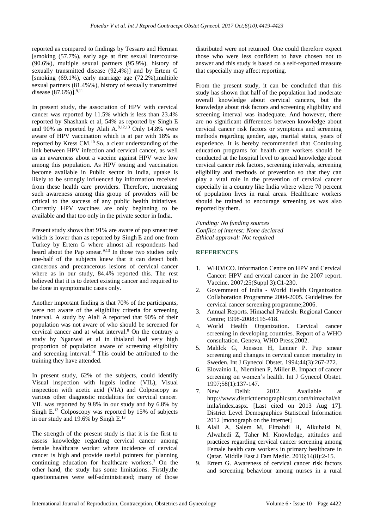reported as compared to findings by Tessaro and Herman [smoking (57.7%), early age at first sexual intercourse (90.6%), multiple sexual partners (95.9%), history of sexually transmitted disease (92.4%)] and by Ertem G [smoking (69.1%), early marriage age (72.2%),multiple sexual partners (81.4%%), history of sexually transmitted disease  $(87.6\%)$ <sup>9,11</sup>

In present study, the association of HPV with cervical cancer was reported by 11.5% which is less than 23.4% reported by Shashank et al, 54% as reported by Singh E and 90% as reported by Alali  $A^{8,12,13}$  Only 14.8% were aware of HPV vaccination which is at par with 18% as reported by Kress CM.<sup>10</sup> So, a clear understanding of the link between HPV infection and cervical cancer, as well as an awareness about a vaccine against HPV were low among this population. As HPV testing and vaccination become available in Public sector in India, uptake is likely to be strongly influenced by information received from these health care providers. Therefore, increasing such awareness among this group of providers will be critical to the success of any public health initiatives. Currently HPV vaccines are only beginning to be available and that too only in the private sector in India.

Present study shows that 91% are aware of pap smear test which is lower than as reported by Singh E and one from Turkey by Ertem G where almost all respondents had heard about the Pap smear.<sup>9,13</sup> In those two studies only one-half of the subjects knew that it can detect both cancerous and precancerous lesions of cervical cancer where as in our study, 84.4% reported this. The rest believed that it is to detect existing cancer and required to be done in symptomatic cases only.

Another important finding is that 70% of the participants, were not aware of the eligibility criteria for screening interval. A study by Alali A reported that 90% of their population was not aware of who should be screened for cervical cancer and at what interval.<sup>8</sup> On the contrary a study by Nganwai et al in thialand had very high proportion of population aware of screening eligibility and screening interval.<sup>14</sup> This could be attributed to the training they have attended.

In present study, 62% of the subjects, could identify Visual inspection with lugols iodine (VIL), Visual inspection with acetic acid (VIA) and Colposcopy as various other diagnostic modalities for cervical cancer. VIL was reported by 9.8% in our study and by 6.8% by Singh E.<sup>13</sup> Colposcopy was reported by 15% of subjects in our study and 19.6% by Singh E.<sup>13</sup>

The strength of the present study is that it is the first to assess knowledge regarding cervical cancer among female healthcare worker where incidence of cervical cancer is high and provide useful pointers for planning continuing education for healthcare workers.<sup>3</sup> On the other hand, the study has some limitations. Firstly,the questionnaires were self-administrated; many of those distributed were not returned. One could therefore expect those who were less confident to have chosen not to answer and this study is based on a self-reported measure that especially may affect reporting.

From the present study, it can be concluded that this study has shown that half of the population had moderate overall knowledge about cervical cancers, but the knowledge about risk factors and screening eligibility and screening interval was inadequate. And however, there are no significant differences between knowledge about cervical cancer risk factors or symptoms and screening methods regarding gender, age, marital status, years of experience. It is hereby recommended that Continuing education programs for health care workers should be conducted at the hospital level to spread knowledge about cervical cancer risk factors, screening intervals, screening eligibility and methods of prevention so that they can play a vital role in the prevention of cervical cancer especially in a country like India where where 70 percent of population lives in rural areas. Healthcare workers should be trained to encourage screening as was also reported by them.

*Funding: No funding sources Conflict of interest: None declared Ethical approval: Not required*

## **REFERENCES**

- 1. WHO/ICO. Information Centre on HPV and Cervical Cancer: HPV and ervical cancer in the 2007 report. Vaccine. 2007;25(Suppl 3):C1-230.
- 2. Government of India World Health Organization Collaboration Programme 2004-2005. Guidelines for cervical cancer screening programme;2006.
- 3. Annual Reports. Himachal Pradesh: Regional Cancer Centre; 1998-2008:116-418.
- 4. World Health Organization. Cervical cancer screening in developing countries. Report of a WHO consultation. Geneva, WHO Press;2002.
- 5. Mahlck G, Jonsson H, Lenner P. Pap smear screening and changes in cervical cancer mortality in Sweden. Int J Gynecol Obstet. 1994;44(3):267-272.
- 6. Elovainio L, Nieminen P, Miller B. Impact of cancer screening on women's health. Int J Gynecol Obstet. 1997;58(1):137-147.
- 7. New Delhi: 2012. Available at http://www.districtdemographicstat.com/himachal/sh imla/index.aspx. [Last cited on 2013 Aug 17]. District Level Demographics Statistical Information 2012 [monograph on the internet]
- 8. Alali A, Salem M, Elmahdi H, Alkubaisi N, Alwahedi Z, Taher M. Knowledge, attitudes and practices regarding cervical cancer screening among Female health care workers in primary healthcare in Qatar. Middle East J Fam Medic. 2016;14(8):2-15.
- 9. Ertem G. Awareness of cervical cancer risk factors and screening behaviour among nurses in a rural